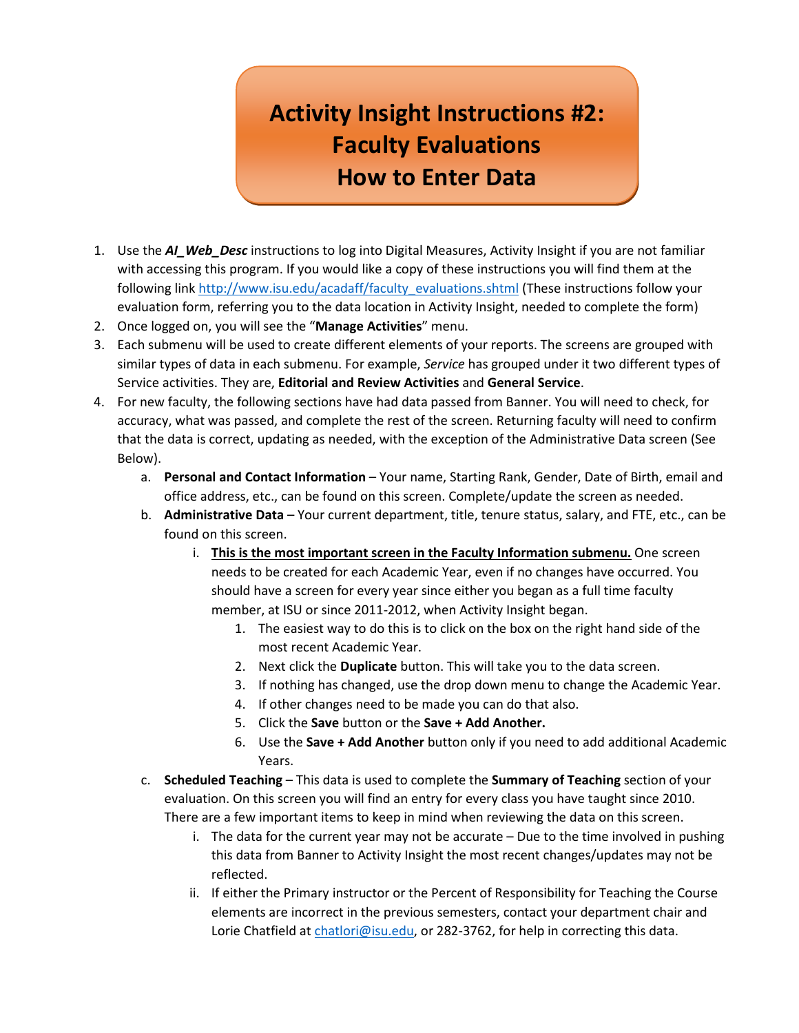## **Activity Insight Instructions #2: Faculty Evaluations How to Enter Data**

- 1. Use the *AI\_Web\_Desc* instructions to log into Digital Measures, Activity Insight if you are not familiar with accessing this program. If you would like a copy of these instructions you will find them at the following link [http://www.isu.edu/acadaff/faculty\\_evaluations.shtml](http://www.isu.edu/acadaff/faculty_evaluations.shtml) (These instructions follow your evaluation form, referring you to the data location in Activity Insight, needed to complete the form)
- 2. Once logged on, you will see the "**Manage Activities**" menu.
- 3. Each submenu will be used to create different elements of your reports. The screens are grouped with similar types of data in each submenu. For example, *Service* has grouped under it two different types of Service activities. They are, **Editorial and Review Activities** and **General Service**.
- 4. For new faculty, the following sections have had data passed from Banner. You will need to check, for accuracy, what was passed, and complete the rest of the screen. Returning faculty will need to confirm that the data is correct, updating as needed, with the exception of the Administrative Data screen (See Below).
	- a. **Personal and Contact Information** Your name, Starting Rank, Gender, Date of Birth, email and office address, etc., can be found on this screen. Complete/update the screen as needed.
	- b. **Administrative Data** Your current department, title, tenure status, salary, and FTE, etc., can be found on this screen.
		- i. **This is the most important screen in the Faculty Information submenu.** One screen needs to be created for each Academic Year, even if no changes have occurred. You should have a screen for every year since either you began as a full time faculty member, at ISU or since 2011-2012, when Activity Insight began.
			- 1. The easiest way to do this is to click on the box on the right hand side of the most recent Academic Year.
			- 2. Next click the **Duplicate** button. This will take you to the data screen.
			- 3. If nothing has changed, use the drop down menu to change the Academic Year.
			- 4. If other changes need to be made you can do that also.
			- 5. Click the **Save** button or the **Save + Add Another.**
			- 6. Use the **Save + Add Another** button only if you need to add additional Academic Years.
	- c. **Scheduled Teaching**  This data is used to complete the **Summary of Teaching** section of your evaluation. On this screen you will find an entry for every class you have taught since 2010. There are a few important items to keep in mind when reviewing the data on this screen.
		- i. The data for the current year may not be accurate Due to the time involved in pushing this data from Banner to Activity Insight the most recent changes/updates may not be reflected.
		- ii. If either the Primary instructor or the Percent of Responsibility for Teaching the Course elements are incorrect in the previous semesters, contact your department chair and Lorie Chatfield at [chatlori@isu.edu,](mailto:chatlori@isu.edu) or 282-3762, for help in correcting this data.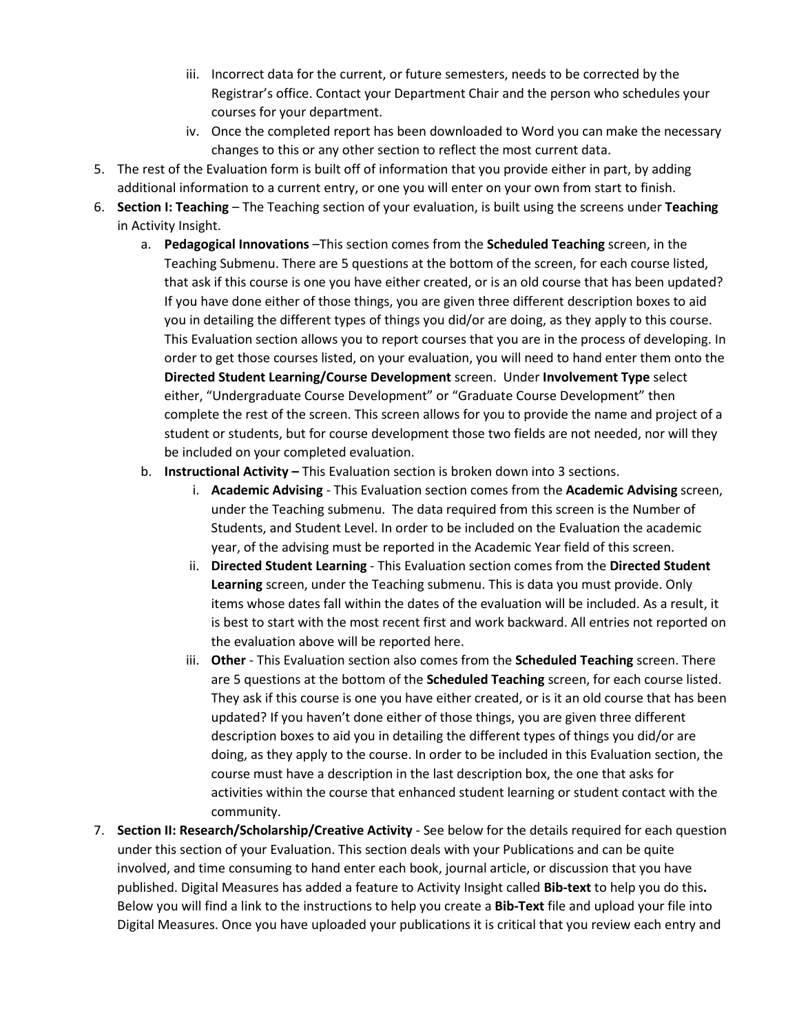- iii. Incorrect data for the current, or future semesters, needs to be corrected by the Registrar's office. Contact your Department Chair and the person who schedules your courses for your department.
- iv. Once the completed report has been downloaded to Word you can make the necessary changes to this or any other section to reflect the most current data.
- 5. The rest of the Evaluation form is built off of information that you provide either in part, by adding additional information to a current entry, or one you will enter on your own from start to finish.
- 6. **Section I: Teaching** The Teaching section of your evaluation, is built using the screens under **Teaching** in Activity Insight.
	- a. **Pedagogical Innovations** –This section comes from the **Scheduled Teaching** screen, in the Teaching Submenu. There are 5 questions at the bottom of the screen, for each course listed, that ask if this course is one you have either created, or is an old course that has been updated? If you have done either of those things, you are given three different description boxes to aid you in detailing the different types of things you did/or are doing, as they apply to this course. This Evaluation section allows you to report courses that you are in the process of developing. In order to get those courses listed, on your evaluation, you will need to hand enter them onto the **Directed Student Learning/Course Development** screen. Under **Involvement Type** select either, "Undergraduate Course Development" or "Graduate Course Development" then complete the rest of the screen. This screen allows for you to provide the name and project of a student or students, but for course development those two fields are not needed, nor will they be included on your completed evaluation.
	- b. **Instructional Activity –** This Evaluation section is broken down into 3 sections.
		- i. **Academic Advising** This Evaluation section comes from the **Academic Advising** screen, under the Teaching submenu. The data required from this screen is the Number of Students, and Student Level. In order to be included on the Evaluation the academic year, of the advising must be reported in the Academic Year field of this screen.
		- ii. **Directed Student Learning** This Evaluation section comes from the **Directed Student Learning** screen, under the Teaching submenu. This is data you must provide. Only items whose dates fall within the dates of the evaluation will be included. As a result, it is best to start with the most recent first and work backward. All entries not reported on the evaluation above will be reported here.
		- iii. **Other** This Evaluation section also comes from the **Scheduled Teaching** screen. There are 5 questions at the bottom of the **Scheduled Teaching** screen, for each course listed. They ask if this course is one you have either created, or is it an old course that has been updated? If you haven't done either of those things, you are given three different description boxes to aid you in detailing the different types of things you did/or are doing, as they apply to the course. In order to be included in this Evaluation section, the course must have a description in the last description box, the one that asks for activities within the course that enhanced student learning or student contact with the community.
- 7. **Section II: Research/Scholarship/Creative Activity** See below for the details required for each question under this section of your Evaluation. This section deals with your Publications and can be quite involved, and time consuming to hand enter each book, journal article, or discussion that you have published. Digital Measures has added a feature to Activity Insight called **Bib-text** to help you do this**.** Below you will find a link to the instructions to help you create a **Bib-Text** file and upload your file into Digital Measures. Once you have uploaded your publications it is critical that you review each entry and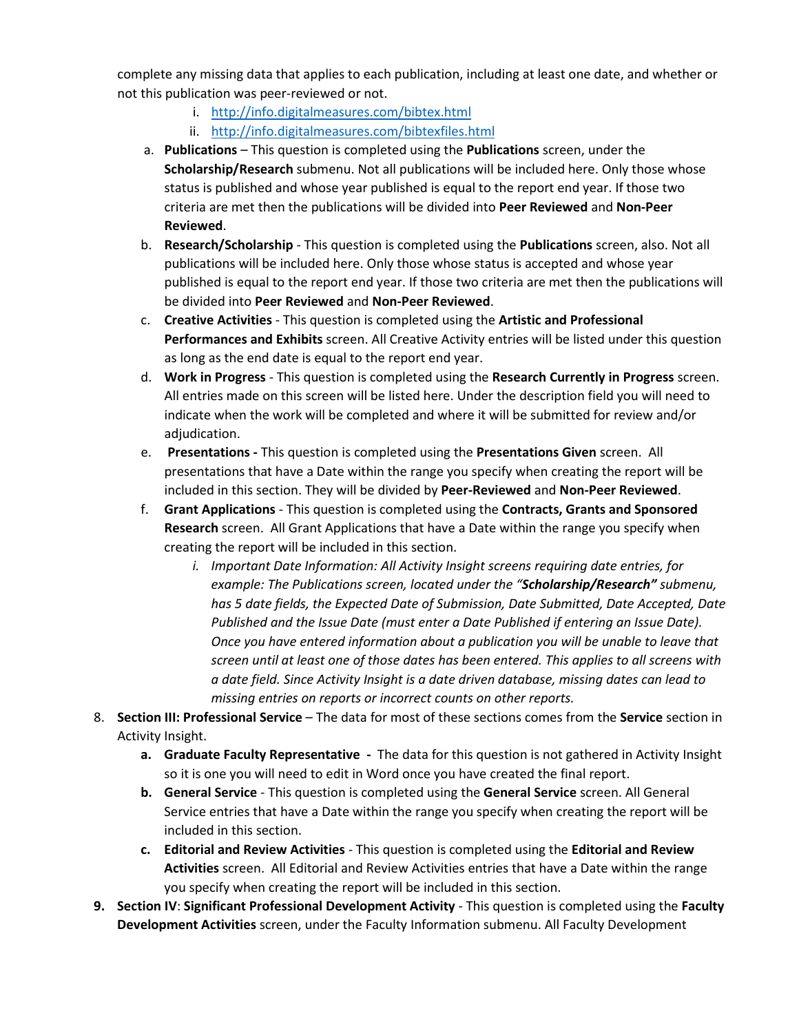complete any missing data that applies to each publication, including at least one date, and whether or not this publication was peer-reviewed or not.

- i. <http://info.digitalmeasures.com/bibtex.html>
- ii. <http://info.digitalmeasures.com/bibtexfiles.html>
- a. **Publications** This question is completed using the **Publications** screen, under the **Scholarship/Research** submenu. Not all publications will be included here. Only those whose status is published and whose year published is equal to the report end year. If those two criteria are met then the publications will be divided into **Peer Reviewed** and **Non-Peer Reviewed**.
- b. **Research/Scholarship** This question is completed using the **Publications** screen, also. Not all publications will be included here. Only those whose status is accepted and whose year published is equal to the report end year. If those two criteria are met then the publications will be divided into **Peer Reviewed** and **Non-Peer Reviewed**.
- c. **Creative Activities**  This question is completed using the **Artistic and Professional Performances and Exhibits** screen. All Creative Activity entries will be listed under this question as long as the end date is equal to the report end year.
- d. **Work in Progress**  This question is completed using the **Research Currently in Progress** screen. All entries made on this screen will be listed here. Under the description field you will need to indicate when the work will be completed and where it will be submitted for review and/or adiudication.
- e. **Presentations -** This question is completed using the **Presentations Given** screen. All presentations that have a Date within the range you specify when creating the report will be included in this section. They will be divided by **Peer-Reviewed** and **Non-Peer Reviewed**.
- f. **Grant Applications** This question is completed using the **Contracts, Grants and Sponsored Research** screen. All Grant Applications that have a Date within the range you specify when creating the report will be included in this section.
	- *i. Important Date Information: All Activity Insight screens requiring date entries, for example: The Publications screen, located under the "Scholarship/Research" submenu, has 5 date fields, the Expected Date of Submission, Date Submitted, Date Accepted, Date Published and the Issue Date (must enter a Date Published if entering an Issue Date). Once you have entered information about a publication you will be unable to leave that screen until at least one of those dates has been entered. This applies to all screens with a date field. Since Activity Insight is a date driven database, missing dates can lead to missing entries on reports or incorrect counts on other reports.*
- 8. **Section III: Professional Service** The data for most of these sections comes from the **Service** section in Activity Insight.
	- **a. Graduate Faculty Representative -** The data for this question is not gathered in Activity Insight so it is one you will need to edit in Word once you have created the final report.
	- **b. General Service**  This question is completed using the **General Service** screen. All General Service entries that have a Date within the range you specify when creating the report will be included in this section.
	- **c. Editorial and Review Activities** This question is completed using the **Editorial and Review Activities** screen. All Editorial and Review Activities entries that have a Date within the range you specify when creating the report will be included in this section.
- **9. Section IV**: **Significant Professional Development Activity** This question is completed using the **Faculty Development Activities** screen, under the Faculty Information submenu. All Faculty Development